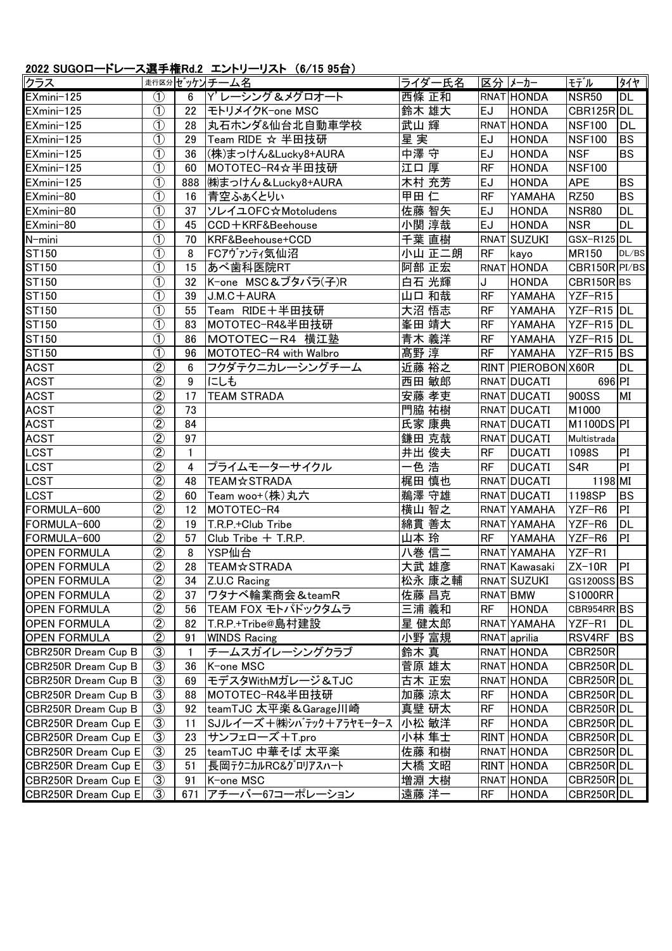## 2022 SUGOロードレース選手権Rd.2 エントリーリスト (6/15 95台)

| クラス                 |                                         |                  | 走行区分ゼッケントチーム名          | ライダー氏名 |           | 区分  メーカー           | モデル             | タイヤ        |
|---------------------|-----------------------------------------|------------------|------------------------|--------|-----------|--------------------|-----------------|------------|
| EXmini-125          | $\circled{1}$                           | $6\phantom{.}$   | Y' レーシング &メグロオート       | 西條 正和  |           | RNAT HONDA         | <b>NSR50</b>    | <b>DL</b>  |
| EXmini-125          | $\circled{1}$                           | 22               | モトリメイクK-one MSC        | 鈴木 雄大  | <b>EJ</b> | <b>HONDA</b>       | CBR125R DL      |            |
| EXmini-125          | $\bigcirc$                              | 28               | 丸石ホンダ&仙台北自動車学校         | 武山 輝   |           | RNAT HONDA         | <b>NSF100</b>   | DL         |
| EXmini-125          | $\overline{1}$                          | 29               | Team RIDE ☆ 半田技研       | 星実     | <b>EJ</b> | <b>HONDA</b>       | <b>NSF100</b>   | <b>BS</b>  |
| EXmini-125          | $\overline{1}$                          | 36               | (株)まっけん&Lucky8+AURA    | 中澤 守   | <b>EJ</b> | <b>HONDA</b>       | <b>NSF</b>      | <b>BS</b>  |
| EXmini-125          | $\circled{1}$                           | 60               | MOTOTEC-R4☆半田技研        | 江口厚    | <b>RF</b> | <b>HONDA</b>       | <b>NSF100</b>   |            |
| EXmini-125          | $\overline{1}$                          | 888              | ㈱まっけん & Lucky8+AURA    | 木村 充芳  | <b>EJ</b> | <b>HONDA</b>       | <b>APE</b>      | <b>BS</b>  |
| EXmini-80           | $\circled{1}$                           | 16               | 青空ふぁくとりぃ               | 甲田仁    | <b>RF</b> | <b>YAMAHA</b>      | <b>RZ50</b>     | <b>BS</b>  |
| EXmini-80           | $\overline{\textcircled{1}}$            | 37               | ソレイユOFC☆Motoludens     | 佐藤 智矢  | <b>EJ</b> | <b>HONDA</b>       | <b>NSR80</b>    | <b>DL</b>  |
| EXmini-80           | $\circled{1}$                           | 45               | CCD+KRF&Beehouse       | 小関 淳哉  | <b>EJ</b> | <b>HONDA</b>       | <b>NSR</b>      | <b>DL</b>  |
| N-mini              | $\circled{1}$                           | 70               | KRF&Beehouse+CCD       | 千葉 直樹  |           | RNAT SUZUKI        | GSX-R125DL      |            |
| ST150               | $\bigcirc$                              | 8                | FCアヴァンティ気仙沼            | 小山 正二朗 | <b>RF</b> | kayo               | <b>MR150</b>    | DL/BS      |
| ST150               | $\overline{1}$                          | 15               | あべ歯科医院RT               | 阿部 正宏  |           | RNAT HONDA         | CBR150R PI/BS   |            |
| ST150               | $\circled{1}$                           | 32               | K-one MSC&ブタバラ(子)R     | 白石 光輝  | J         | <b>HONDA</b>       | CBR150RBS       |            |
| ST150               | $\overline{1}$                          | 39               | $J.M.C + AURA$         | 山口 和哉  | <b>RF</b> | <b>YAMAHA</b>      | YZF-R15         |            |
| ST150               | $\overline{\textcircled{\text{\sf 1}}}$ | 55               | Team RIDE+半田技研         | 大沼 悟志  | <b>RF</b> | <b>YAMAHA</b>      | YZF-R15 DL      |            |
| ST150               | $\overline{1}$                          | 83               | MOTOTEC-R4&半田技研        | 峯田 靖大  | <b>RF</b> | YAMAHA             | YZF-R15 DL      |            |
| ST150               | $\circled{1}$                           | 86               | MOTOTEC-R4 横江塾         | 青木 義洋  | <b>RF</b> | YAMAHA             | YZF-R15 DL      |            |
| ST150               | $\overline{1}$                          | 96               | MOTOTEC-R4 with Walbro | 髙野淳    | <b>RF</b> | YAMAHA             | YZF-R15 BS      |            |
| <b>ACST</b>         | $\circledZ$                             | 6                | フクダテクニカレーシングチーム        | 近藤 裕之  |           | RINT PIEROBON X60R |                 | <b>DL</b>  |
| <b>ACST</b>         | $\overline{\textcircled{2}}$            | $\boldsymbol{9}$ | にしも                    | 西田 敏郎  |           | RNAT DUCATI        | 696 PI          |            |
| <b>ACST</b>         | $\overline{\textcircled{2}}$            | 17               | <b>TEAM STRADA</b>     | 安藤 孝吏  |           | RNAT DUCATI        | 900SS           | MI         |
| <b>ACST</b>         | $\circled{2}$                           | 73               |                        | 門脇 祐樹  |           | RNAT DUCATI        | M1000           |            |
| <b>ACST</b>         | $\overline{2}$                          | 84               |                        | 氏家 康典  |           | RNAT DUCATI        | M1100DS PI      |            |
| <b>ACST</b>         | $\overline{\textcircled{2}}$            | 97               |                        | 鎌田 克哉  |           | RNAT DUCATI        | Multistrada     |            |
| LCST                | $\overline{\textcircled{2}}$            | $\mathbf{1}$     |                        | 井出 俊夫  | <b>RF</b> | <b>DUCATI</b>      | 1098S           | PI         |
| LCST                | $\circled{2}$                           | 4                | プライムモーターサイクル           | 一色 浩   | <b>RF</b> | <b>DUCATI</b>      | S <sub>4R</sub> | PI         |
| LCST                | $\circled{2}$                           | 48               | <b>TEAM☆STRADA</b>     | 梶田 慎也  |           | RNAT DUCATI        | 1198 MI         |            |
| LCST                | $\overline{2}$                          | 60               | Team woo+(株)丸六         | 鵜澤 守雄  |           | RNAT DUCATI        | 1198SP          | <b>BS</b>  |
| FORMULA-600         | $\overline{\textcircled{2}}$            | 12               | MOTOTEC-R4             | 横山 智之  |           | RNAT YAMAHA        | YZF-R6          | PI         |
| FORMULA-600         | $\circled{2}$                           | 19               | T.R.P.+Club Tribe      | 綿貫 善太  |           | RNAT YAMAHA        | YZF-R6          | <b>DL</b>  |
| FORMULA-600         | $\overline{2}$                          | 57               | Club Tribe + T.R.P.    | 山本 玲   | <b>RF</b> | YAMAHA             | YZF-R6          | PI         |
| <b>OPEN FORMULA</b> | $\overline{2}$                          | 8 <sup>1</sup>   | YSP仙台                  | 八巻信二   |           | RNAT YAMAHA        | YZF-R1          |            |
| <b>OPEN FORMULA</b> | $\circled{2}$                           | 28               | <b>TEAM☆STRADA</b>     | 大武 雄彦  |           | RNAT Kawasaki      | $ZX-10R$        | PI         |
| <b>OPEN FORMULA</b> | $\circled{2}$                           | 34               | Z.U.C Racing           | 松永 康之輔 |           | RNAT SUZUKI        | GS1200SS BS     |            |
| <b>OPEN FORMULA</b> | $\circled{2}$                           | 37               | ワタナベ輪業商会&teamR         | 佐藤 昌克  |           | RNAT BMW           | S1000RR         |            |
| <b>OPEN FORMULA</b> | $\overline{2}$                          | 56               | TEAM FOX モトパドックタムラ     | 三浦 義和  | <b>RF</b> | <b>HONDA</b>       | CBR954RR BS     |            |
| <b>OPEN FORMULA</b> | $\circled{2}$                           | 82               | T.R.P.+Tribe@島村建設      | 星 健太郎  |           | RNAT YAMAHA        | YZF-R1          | DL         |
| <b>OPEN FORMULA</b> | $\circled{2}$                           | 91               | <b>WINDS Racing</b>    | 小野 富規  |           | RNAT aprilia       | RSV4RF          | <b>IBS</b> |
| CBR250R Dream Cup B | $\circled{3}$                           | 1                | チームスガイレーシングクラブ         | 鈴木 真   |           | RNAT HONDA         | <b>CBR250R</b>  |            |
| CBR250R Dream Cup B | $\circled{3}$                           | 36               | K-one MSC              | 菅原 雄太  |           | RNAT HONDA         | CBR250R DL      |            |
| CBR250R Dream Cup B | $\circled{3}$                           | 69               | モデスタWithMガレージ&TJC      | 古木 正宏  |           | RNAT HONDA         | CBR250R DL      |            |
| CBR250R Dream Cup B | $\circled{3}$                           | 88               | MOTOTEC-R4&半田技研        | 加藤 涼太  | RF        | <b>HONDA</b>       | CBR250R DL      |            |
| CBR250R Dream Cup B | $\circled{3}$                           | 92               | teamTJC 太平楽&Garage川崎   | 真壁 研太  | <b>RF</b> | <b>HONDA</b>       | CBR250R DL      |            |
| CBR250R Dream Cup E | $\circled{3}$                           | 11               | SJルイ―ズ+㈱シバテック+アラヤモータース | 小松 敏洋  | <b>RF</b> | <b>HONDA</b>       | CBR250R DL      |            |
| CBR250R Dream Cup E | $\circled{3}$                           | 23               | サンフェローズ+T.pro          | 小林 隼士  |           | RINT HONDA         | CBR250R DL      |            |
| CBR250R Dream Cup E | $\circled{3}$                           | 25               | teamTJC 中華そば 太平楽       | 佐藤 和樹  |           | RNAT HONDA         | CBR250R DL      |            |
| CBR250R Dream Cup E | $\circled{3}$                           | 51               | 長岡テクニカルRC&グロリアスハート     | 大橋 文昭  |           | <b>RINT HONDA</b>  | CBR250R DL      |            |
| CBR250R Dream Cup E | $\circled{3}$                           | 91               | K-one MSC              | 増淵 大樹  |           | RNAT HONDA         | CBR250R DL      |            |
| CBR250R Dream Cup E | $\circled{3}$                           | 671              | アチーバー67コーポレーション        | 遠藤 洋一  | <b>RF</b> | <b>HONDA</b>       | CBR250R DL      |            |